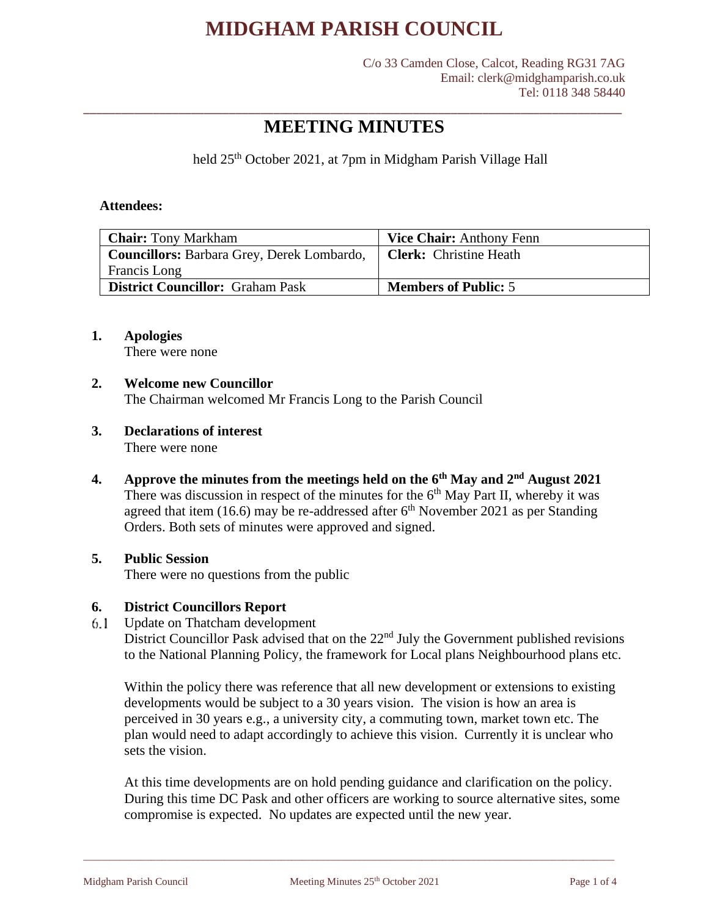C/o 33 Camden Close, Calcot, Reading RG31 7AG Email: clerk@midghamparish.co.uk Tel: 0118 348 58440

## \_\_\_\_\_\_\_\_\_\_\_\_\_\_\_\_\_\_\_\_\_\_\_\_\_\_\_\_\_\_\_\_\_\_\_\_\_\_\_\_\_\_\_\_\_\_\_\_\_\_\_\_\_\_\_\_\_\_\_\_\_\_\_\_\_\_\_\_\_\_\_\_\_\_\_\_\_\_\_\_\_\_\_\_\_ **MEETING MINUTES**

held 25<sup>th</sup> October 2021, at 7pm in Midgham Parish Village Hall

#### **Attendees:**

| <b>Chair:</b> Tony Markham                 | <b>Vice Chair:</b> Anthony Fenn |
|--------------------------------------------|---------------------------------|
| Councillors: Barbara Grey, Derek Lombardo, | <b>Clerk:</b> Christine Heath   |
| Francis Long                               |                                 |
| <b>District Councillor:</b> Graham Pask    | <b>Members of Public: 5</b>     |

### **1. Apologies**

There were none

#### **2. Welcome new Councillor**

The Chairman welcomed Mr Francis Long to the Parish Council

- **3. Declarations of interest** There were none
- **4. Approve the minutes from the meetings held on the 6th May and 2nd August 2021** There was discussion in respect of the minutes for the  $6<sup>th</sup>$  May Part II, whereby it was agreed that item (16.6) may be re-addressed after  $6<sup>th</sup>$  November 2021 as per Standing Orders. Both sets of minutes were approved and signed.

## **5. Public Session**

There were no questions from the public

### **6. District Councillors Report**

Update on Thatcham development 6.1

District Councillor Pask advised that on the  $22<sup>nd</sup>$  July the Government published revisions to the National Planning Policy, the framework for Local plans Neighbourhood plans etc.

Within the policy there was reference that all new development or extensions to existing developments would be subject to a 30 years vision. The vision is how an area is perceived in 30 years e.g., a university city, a commuting town, market town etc. The plan would need to adapt accordingly to achieve this vision. Currently it is unclear who sets the vision.

At this time developments are on hold pending guidance and clarification on the policy. During this time DC Pask and other officers are working to source alternative sites, some compromise is expected. No updates are expected until the new year.

\_\_\_\_\_\_\_\_\_\_\_\_\_\_\_\_\_\_\_\_\_\_\_\_\_\_\_\_\_\_\_\_\_\_\_\_\_\_\_\_\_\_\_\_\_\_\_\_\_\_\_\_\_\_\_\_\_\_\_\_\_\_\_\_\_\_\_\_\_\_\_\_\_\_\_\_\_\_\_\_\_\_\_\_\_\_\_\_\_\_\_\_\_\_\_\_\_\_\_\_\_\_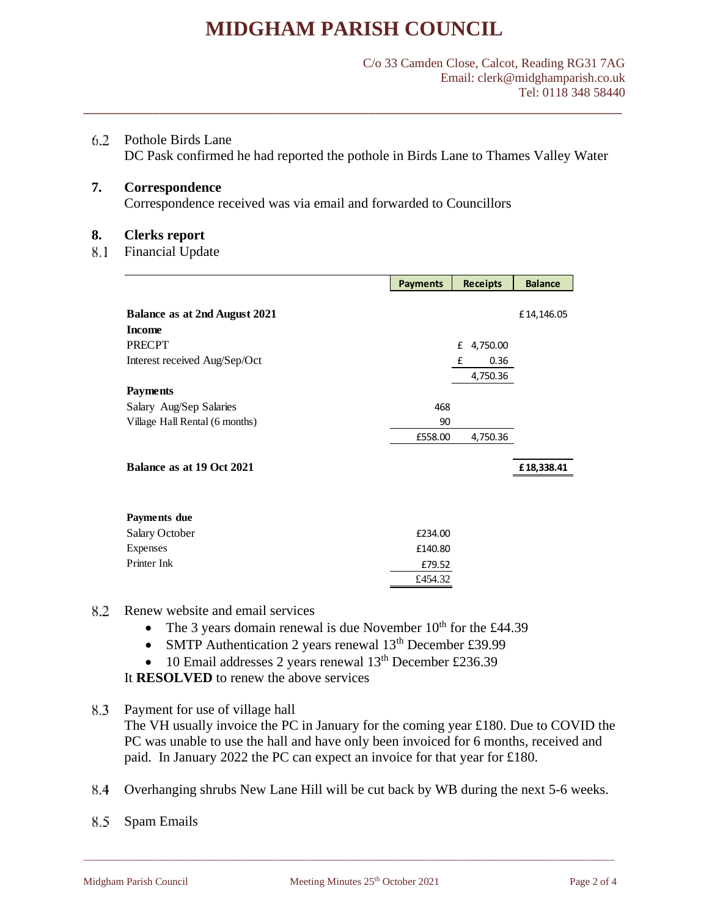\_\_\_\_\_\_\_\_\_\_\_\_\_\_\_\_\_\_\_\_\_\_\_\_\_\_\_\_\_\_\_\_\_\_\_\_\_\_\_\_\_\_\_\_\_\_\_\_\_\_\_\_\_\_\_\_\_\_\_\_\_\_\_\_\_\_\_\_\_\_\_\_\_\_\_\_\_\_\_\_\_\_\_\_\_

Pothole Birds Lane

DC Pask confirmed he had reported the pothole in Birds Lane to Thames Valley Water

**7. Correspondence**

Correspondence received was via email and forwarded to Councillors

#### **8. Clerks report**

8.1 Financial Update

|                                                       | <b>Payments</b> | <b>Receipts</b> | <b>Balance</b> |
|-------------------------------------------------------|-----------------|-----------------|----------------|
| <b>Balance as at 2nd August 2021</b><br><b>Income</b> |                 |                 | £14,146.05     |
| <b>PRECPT</b>                                         |                 | £<br>4,750.00   |                |
| Interest received Aug/Sep/Oct                         |                 | 0.36<br>£       |                |
| <b>Payments</b>                                       |                 | 4,750.36        |                |
| Salary Aug/Sep Salaries                               | 468             |                 |                |
| Village Hall Rental (6 months)                        | 90              |                 |                |
|                                                       | £558.00         | 4,750.36        |                |
| Balance as at 19 Oct 2021                             |                 |                 | £18,338.41     |
| Payments due                                          |                 |                 |                |
| Salary October                                        | £234.00         |                 |                |
| Expenses                                              | £140.80         |                 |                |
| Printer Ink                                           | £79.52          |                 |                |
|                                                       | £454.32         |                 |                |

- 8.2 Renew website and email services
	- The 3 years domain renewal is due November  $10^{th}$  for the £44.39
	- SMTP Authentication 2 years renewal 13<sup>th</sup> December £39.99
	- 10 Email addresses 2 years renewal 13<sup>th</sup> December £236.39

It **RESOLVED** to renew the above services

- Payment for use of village hall The VH usually invoice the PC in January for the coming year £180. Due to COVID the PC was unable to use the hall and have only been invoiced for 6 months, received and paid. In January 2022 the PC can expect an invoice for that year for £180.
- 8.4 Overhanging shrubs New Lane Hill will be cut back by WB during the next 5-6 weeks.

\_\_\_\_\_\_\_\_\_\_\_\_\_\_\_\_\_\_\_\_\_\_\_\_\_\_\_\_\_\_\_\_\_\_\_\_\_\_\_\_\_\_\_\_\_\_\_\_\_\_\_\_\_\_\_\_\_\_\_\_\_\_\_\_\_\_\_\_\_\_\_\_\_\_\_\_\_\_\_\_\_\_\_\_\_\_\_\_\_\_\_\_\_\_\_\_\_\_\_\_\_\_

8.5 Spam Emails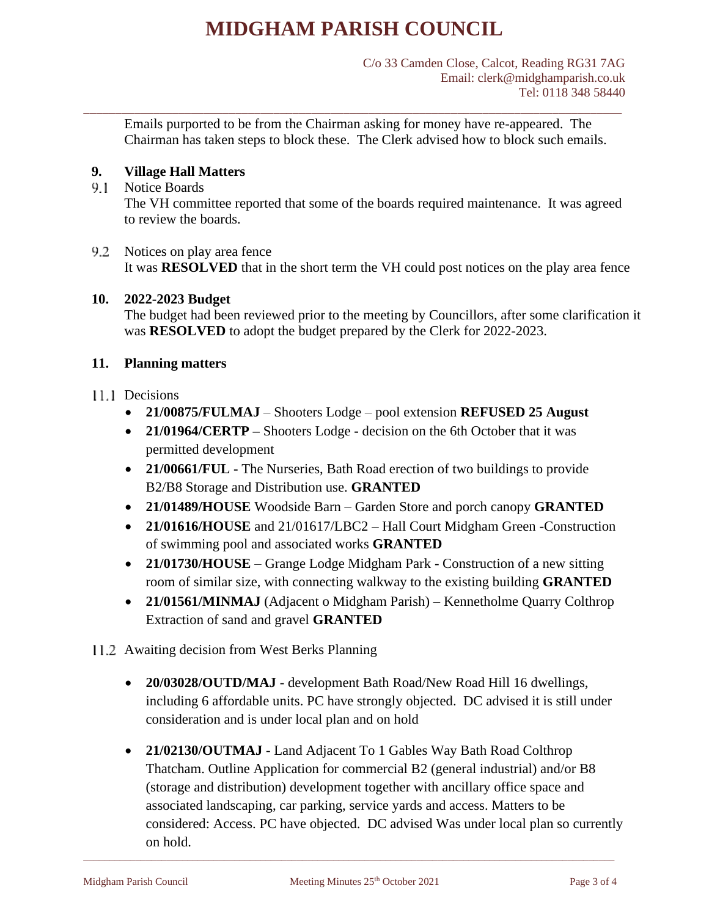\_\_\_\_\_\_\_\_\_\_\_\_\_\_\_\_\_\_\_\_\_\_\_\_\_\_\_\_\_\_\_\_\_\_\_\_\_\_\_\_\_\_\_\_\_\_\_\_\_\_\_\_\_\_\_\_\_\_\_\_\_\_\_\_\_\_\_\_\_\_\_\_\_\_\_\_\_\_\_\_\_\_\_\_\_

Emails purported to be from the Chairman asking for money have re-appeared. The Chairman has taken steps to block these. The Clerk advised how to block such emails.

## **9. Village Hall Matters**

### 9.1 Notice Boards

The VH committee reported that some of the boards required maintenance. It was agreed to review the boards.

9.2 Notices on play area fence It was **RESOLVED** that in the short term the VH could post notices on the play area fence

### **10. 2022-2023 Budget**

The budget had been reviewed prior to the meeting by Councillors, after some clarification it was **RESOLVED** to adopt the budget prepared by the Clerk for 2022-2023.

### **11. Planning matters**

### 11.1 Decisions

- **21/00875/FULMAJ** Shooters Lodge pool extension **REFUSED 25 August**
- **21/01964/CERTP –** Shooters Lodge **-** decision on the 6th October that it was permitted development
- **21/00661/FUL -** The Nurseries, Bath Road erection of two buildings to provide B2/B8 Storage and Distribution use. **GRANTED**
- **21/01489/HOUSE** Woodside Barn Garden Store and porch canopy **GRANTED**
- **21/01616/HOUSE** and 21/01617/LBC2 Hall Court Midgham Green -Construction of swimming pool and associated works **GRANTED**
- **21/01730/HOUSE**  Grange Lodge Midgham Park Construction of a new sitting room of similar size, with connecting walkway to the existing building **GRANTED**
- **21/01561/MINMAJ** (Adjacent o Midgham Parish) Kennetholme Quarry Colthrop Extraction of sand and gravel **GRANTED**
- 11.2 Awaiting decision from West Berks Planning
	- **20/03028/OUTD/MAJ** development Bath Road/New Road Hill 16 dwellings, including 6 affordable units. PC have strongly objected. DC advised it is still under consideration and is under local plan and on hold
	- **21/02130/OUTMAJ** Land Adjacent To 1 Gables Way Bath Road Colthrop Thatcham. Outline Application for commercial B2 (general industrial) and/or B8 (storage and distribution) development together with ancillary office space and associated landscaping, car parking, service yards and access. Matters to be considered: Access. PC have objected. DC advised Was under local plan so currently on hold.

\_\_\_\_\_\_\_\_\_\_\_\_\_\_\_\_\_\_\_\_\_\_\_\_\_\_\_\_\_\_\_\_\_\_\_\_\_\_\_\_\_\_\_\_\_\_\_\_\_\_\_\_\_\_\_\_\_\_\_\_\_\_\_\_\_\_\_\_\_\_\_\_\_\_\_\_\_\_\_\_\_\_\_\_\_\_\_\_\_\_\_\_\_\_\_\_\_\_\_\_\_\_